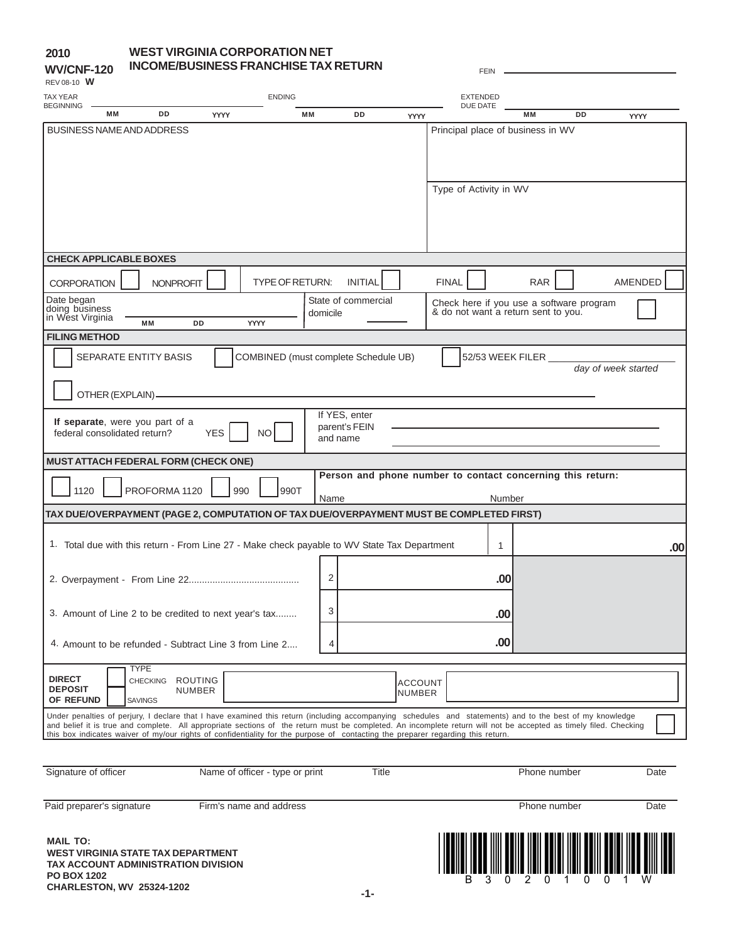### **WEST VIRGINIA CORPORATION NET INCOME/BUSINESS FRANCHISE TAX RETURN**

| <b>WV/CNF-120</b><br>REV 08-10 W                                                                                                                                                                                                                                                                                                                                                                                                                                 |                                           | INCOME/BUSINESS FRANCHISE TAX RETURN |                          |                                 |                        |                |                                      |                          |                        | <b>FEIN</b>     |                                     |                                                            |                     |             |
|------------------------------------------------------------------------------------------------------------------------------------------------------------------------------------------------------------------------------------------------------------------------------------------------------------------------------------------------------------------------------------------------------------------------------------------------------------------|-------------------------------------------|--------------------------------------|--------------------------|---------------------------------|------------------------|----------------|--------------------------------------|--------------------------|------------------------|-----------------|-------------------------------------|------------------------------------------------------------|---------------------|-------------|
| TAX YEAR                                                                                                                                                                                                                                                                                                                                                                                                                                                         |                                           |                                      |                          |                                 | <b>ENDING</b>          |                |                                      |                          |                        | <b>EXTENDED</b> |                                     |                                                            |                     |             |
| <b>BEGINNING</b>                                                                                                                                                                                                                                                                                                                                                                                                                                                 | <b>MM</b>                                 | <b>DD</b>                            | <b>YYYY</b>              |                                 | <b>MM</b>              |                | DD                                   | <b>YYYY</b>              |                        | DUE DATE        | <b>MM</b>                           | DD                                                         |                     | <b>YYYY</b> |
| BUSINESS NAME AND ADDRESS                                                                                                                                                                                                                                                                                                                                                                                                                                        |                                           |                                      |                          |                                 |                        |                |                                      |                          |                        |                 | Principal place of business in WV   |                                                            |                     |             |
|                                                                                                                                                                                                                                                                                                                                                                                                                                                                  |                                           |                                      |                          |                                 |                        |                |                                      |                          | Type of Activity in WV |                 |                                     |                                                            |                     |             |
| <b>CHECK APPLICABLE BOXES</b>                                                                                                                                                                                                                                                                                                                                                                                                                                    |                                           |                                      |                          |                                 |                        |                |                                      |                          |                        |                 |                                     |                                                            |                     |             |
| <b>CORPORATION</b>                                                                                                                                                                                                                                                                                                                                                                                                                                               |                                           | <b>NONPROFIT</b>                     |                          |                                 | <b>TYPE OF RETURN:</b> |                | <b>INITIAL</b>                       |                          | <b>FINAL</b>           |                 | <b>RAR</b>                          |                                                            |                     | AMENDED     |
| Date began<br>doing business<br>in West Virginia                                                                                                                                                                                                                                                                                                                                                                                                                 | <b>MM</b>                                 |                                      | DD                       | YYYY                            |                        | domicile       | State of commercial                  |                          |                        |                 | & do not want a return sent to you. | Check here if you use a software program                   |                     |             |
| <b>FILING METHOD</b>                                                                                                                                                                                                                                                                                                                                                                                                                                             |                                           |                                      |                          |                                 |                        |                |                                      |                          |                        |                 |                                     |                                                            |                     |             |
|                                                                                                                                                                                                                                                                                                                                                                                                                                                                  |                                           | SEPARATE ENTITY BASIS                |                          |                                 |                        |                | COMBINED (must complete Schedule UB) |                          |                        |                 | 52/53 WEEK FILER                    |                                                            | day of week started |             |
|                                                                                                                                                                                                                                                                                                                                                                                                                                                                  | OTHER (EXPLAIN)-                          |                                      |                          |                                 |                        |                |                                      |                          |                        |                 |                                     |                                                            |                     |             |
| If separate, were you part of a<br>federal consolidated return?                                                                                                                                                                                                                                                                                                                                                                                                  |                                           |                                      | <b>YES</b>               | <b>NO</b>                       |                        | and name       | If YES, enter<br>parent's FEIN       |                          |                        |                 |                                     |                                                            |                     |             |
| MUST ATTACH FEDERAL FORM (CHECK ONE)                                                                                                                                                                                                                                                                                                                                                                                                                             |                                           |                                      |                          |                                 |                        |                |                                      |                          |                        |                 |                                     |                                                            |                     |             |
| 1120                                                                                                                                                                                                                                                                                                                                                                                                                                                             |                                           | PROFORMA 1120                        |                          | 990                             | 990T                   | Name           |                                      |                          |                        |                 | Number                              | Person and phone number to contact concerning this return: |                     |             |
| TAX DUE/OVERPAYMENT (PAGE 2, COMPUTATION OF TAX DUE/OVERPAYMENT MUST BE COMPLETED FIRST)                                                                                                                                                                                                                                                                                                                                                                         |                                           |                                      |                          |                                 |                        |                |                                      |                          |                        |                 |                                     |                                                            |                     |             |
| 1. Total due with this return - From Line 27 - Make check payable to WV State Tax Department                                                                                                                                                                                                                                                                                                                                                                     |                                           |                                      |                          |                                 |                        |                |                                      |                          |                        | 1               |                                     |                                                            |                     | .00         |
|                                                                                                                                                                                                                                                                                                                                                                                                                                                                  |                                           |                                      |                          |                                 |                        | $\overline{2}$ |                                      |                          |                        | .00             |                                     |                                                            |                     |             |
| 3. Amount of Line 2 to be credited to next year's tax                                                                                                                                                                                                                                                                                                                                                                                                            |                                           |                                      |                          |                                 |                        | 3              |                                      |                          |                        | .00             |                                     |                                                            |                     |             |
| 4. Amount to be refunded - Subtract Line 3 from Line 2                                                                                                                                                                                                                                                                                                                                                                                                           |                                           |                                      |                          |                                 |                        | 4              |                                      |                          |                        | .00             |                                     |                                                            |                     |             |
| <b>DIRECT</b><br><b>DEPOSIT</b><br>OF REFUND                                                                                                                                                                                                                                                                                                                                                                                                                     | <b>TYPE</b><br>CHECKING<br><b>SAVINGS</b> |                                      | ROUTING<br><b>NUMBER</b> |                                 |                        |                |                                      | <b>ACCOUNT</b><br>NUMBER |                        |                 |                                     |                                                            |                     |             |
| Under penalties of perjury, I declare that I have examined this return (including accompanying schedules and statements) and to the best of my knowledge<br>and belief it is true and complete. All appropriate sections of the return must be completed. An incomplete return will not be accepted as timely filed. Checking<br>this box indicates waiver of my/our rights of confidentiality for the purpose of contacting the preparer regarding this return. |                                           |                                      |                          |                                 |                        |                |                                      |                          |                        |                 |                                     |                                                            |                     |             |
|                                                                                                                                                                                                                                                                                                                                                                                                                                                                  |                                           |                                      |                          |                                 |                        |                |                                      |                          |                        |                 |                                     |                                                            |                     |             |
| Signature of officer                                                                                                                                                                                                                                                                                                                                                                                                                                             |                                           |                                      |                          | Name of officer - type or print |                        |                | <b>Title</b>                         |                          |                        |                 |                                     | Phone number                                               |                     | Date        |
| Paid preparer's signature                                                                                                                                                                                                                                                                                                                                                                                                                                        |                                           |                                      |                          | Firm's name and address         |                        |                |                                      |                          |                        |                 |                                     | Phone number                                               |                     | Date        |

**MAIL TO: WEST VIRGINIA STATE TAX DEPARTMENT TAX ACCOUNT ADMINISTRATION DIVISION PO BOX 1202 CHARLESTON, WV 25324-1202**

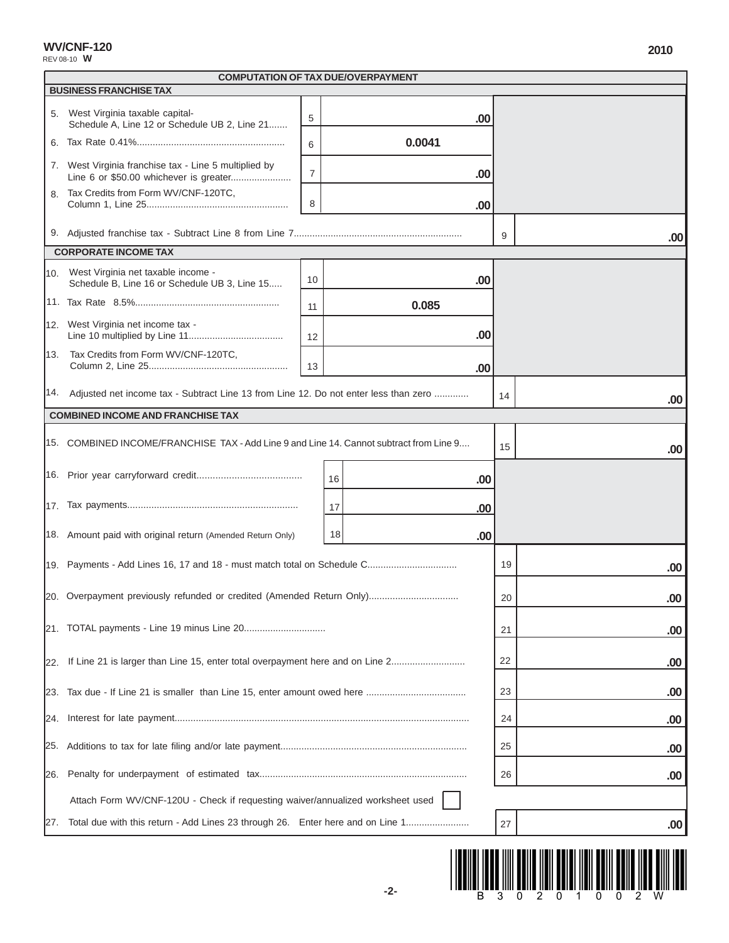REV 08-10 **W**

|     | <b>COMPUTATION OF TAX DUE/OVERPAYMENT</b>                                                |                |     |        |    |     |
|-----|------------------------------------------------------------------------------------------|----------------|-----|--------|----|-----|
|     | <b>BUSINESS FRANCHISE TAX</b>                                                            |                |     |        |    |     |
| 5.  | West Virginia taxable capital-<br>Schedule A, Line 12 or Schedule UB 2, Line 21          | 5              |     | .00    |    |     |
|     |                                                                                          | 6              |     | 0.0041 |    |     |
|     | 7. West Virginia franchise tax - Line 5 multiplied by                                    | $\overline{7}$ |     | .00    |    |     |
| 8.  | Tax Credits from Form WV/CNF-120TC,                                                      | 8              |     | .00    |    |     |
|     |                                                                                          |                |     |        | 9  | .00 |
|     | <b>CORPORATE INCOME TAX</b>                                                              |                |     |        |    |     |
|     | 10. West Virginia net taxable income -<br>Schedule B, Line 16 or Schedule UB 3, Line 15  | 10             |     | .00    |    |     |
|     |                                                                                          | 11             |     | 0.085  |    |     |
|     | 12. West Virginia net income tax -                                                       | 12             |     | .00    |    |     |
| 13. | Tax Credits from Form WV/CNF-120TC,                                                      | 13             |     | .00    |    |     |
|     | 14. Adjusted net income tax - Subtract Line 13 from Line 12. Do not enter less than zero |                |     |        | 14 | .00 |
|     | <b>COMBINED INCOME AND FRANCHISE TAX</b>                                                 |                |     |        |    |     |
|     | 15. COMBINED INCOME/FRANCHISE TAX - Add Line 9 and Line 14. Cannot subtract from Line 9  |                |     |        | 15 | .00 |
|     |                                                                                          |                | 16  | .00    |    |     |
|     |                                                                                          |                | 17  | .00    |    |     |
|     | 18. Amount paid with original return (Amended Return Only)                               |                | 18  | .00    |    |     |
|     | 19. Payments - Add Lines 16, 17 and 18 - must match total on Schedule C                  |                |     |        | 19 | .00 |
|     |                                                                                          |                |     |        | 20 | .00 |
|     |                                                                                          |                |     |        | 21 | .00 |
|     | 22. If Line 21 is larger than Line 15, enter total overpayment here and on Line 2        | 22             | .00 |        |    |     |
|     |                                                                                          | 23             | .00 |        |    |     |
|     |                                                                                          |                |     |        |    | .00 |
|     |                                                                                          |                |     |        |    | .00 |
| 26. |                                                                                          | 26             | .00 |        |    |     |
|     | Attach Form WV/CNF-120U - Check if requesting waiver/annualized worksheet used           |                |     |        |    |     |
| 27. | Total due with this return - Add Lines 23 through 26. Enter here and on Line 1           |                |     |        | 27 | .00 |

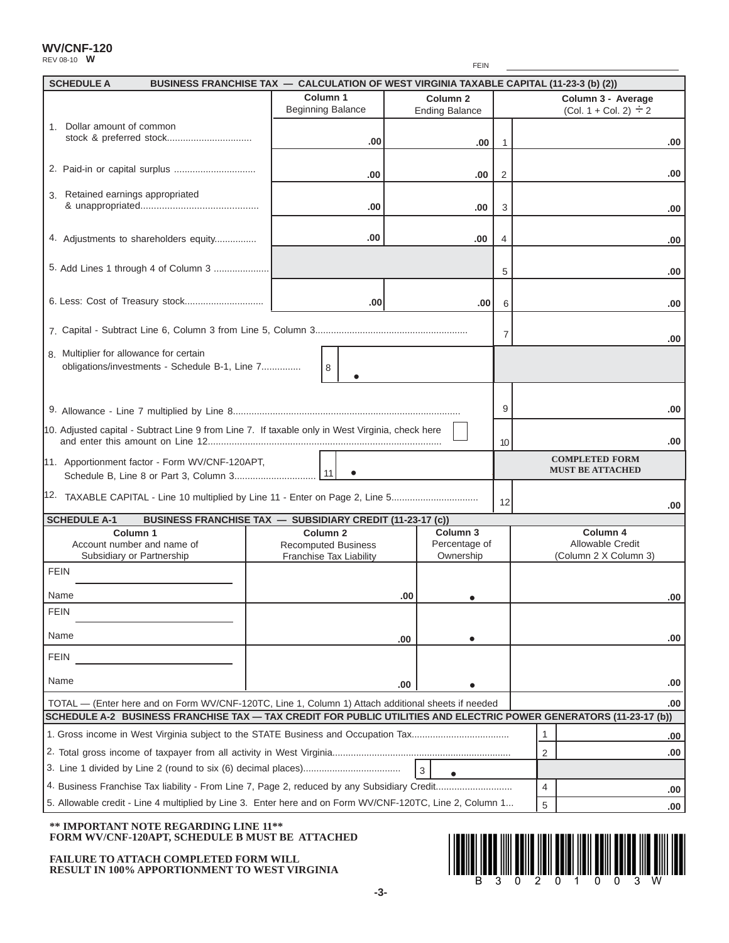REV 08-10 **W**

|    | 11LVUUUUVVV                                                                                                  |                                      | <b>FEIN</b>                                  |                |                               |
|----|--------------------------------------------------------------------------------------------------------------|--------------------------------------|----------------------------------------------|----------------|-------------------------------|
|    | <b>SCHEDULE A</b><br>BUSINESS FRANCHISE TAX - CALCULATION OF WEST VIRGINIA TAXABLE CAPITAL (11-23-3 (b) (2)) |                                      |                                              |                |                               |
|    |                                                                                                              | Column 1<br><b>Beginning Balance</b> | Column <sub>2</sub><br><b>Ending Balance</b> |                | Column 3 -<br>$(Col. 1 + Col$ |
|    | Dollar amount of common                                                                                      | .00                                  | .00                                          |                |                               |
|    |                                                                                                              | .00                                  | .00                                          | $\mathfrak{p}$ |                               |
| 3. | Retained earnings appropriated<br>& unappropriated                                                           | .00                                  | .00                                          | 3              |                               |
|    |                                                                                                              |                                      |                                              |                |                               |

|                                                                                                                    | .00                                                          |     | .00                        |                |                |                                           | .00  |
|--------------------------------------------------------------------------------------------------------------------|--------------------------------------------------------------|-----|----------------------------|----------------|----------------|-------------------------------------------|------|
|                                                                                                                    |                                                              |     |                            |                |                |                                           |      |
|                                                                                                                    | .00                                                          |     | .00                        | 2              |                |                                           | .00  |
| 3. Retained earnings appropriated                                                                                  | .00                                                          |     | .00                        | 3              |                |                                           | .00  |
|                                                                                                                    |                                                              |     |                            |                |                |                                           |      |
| 4. Adjustments to shareholders equity                                                                              | .00                                                          |     | .00                        | 4              |                |                                           | .00  |
|                                                                                                                    |                                                              |     |                            | 5              |                |                                           | .00  |
|                                                                                                                    | .00                                                          |     | .00                        | 6              |                |                                           | .00  |
|                                                                                                                    |                                                              |     |                            | $\overline{7}$ |                |                                           |      |
| 8. Multiplier for allowance for certain                                                                            |                                                              |     |                            |                |                |                                           | .00  |
| obligations/investments - Schedule B-1, Line 7                                                                     | 8                                                            |     |                            |                |                |                                           |      |
|                                                                                                                    |                                                              |     |                            |                |                |                                           |      |
|                                                                                                                    |                                                              |     |                            | 9              |                |                                           | .00  |
| 10. Adjusted capital - Subtract Line 9 from Line 7. If taxable only in West Virginia, check here                   |                                                              |     |                            | 10             |                |                                           | .00  |
| 11. Apportionment factor - Form WV/CNF-120APT,                                                                     |                                                              |     |                            |                |                | <b>COMPLETED FORM</b>                     |      |
|                                                                                                                    |                                                              |     |                            |                |                | <b>MUST BE ATTACHED</b>                   |      |
| 12. TAXABLE CAPITAL - Line 10 multiplied by Line 11 - Enter on Page 2, Line 5                                      |                                                              |     |                            | 12             |                |                                           | .00  |
| <b>SCHEDULE A-1</b>                                                                                                | BUSINESS FRANCHISE TAX - SUBSIDIARY CREDIT (11-23-17 (c))    |     |                            |                |                |                                           |      |
| Column <sub>1</sub>                                                                                                | Column <sub>2</sub>                                          |     | Column <sub>3</sub>        |                |                | Column 4                                  |      |
| Account number and name of<br>Subsidiary or Partnership                                                            | <b>Recomputed Business</b><br><b>Franchise Tax Liability</b> |     | Percentage of<br>Ownership |                |                | Allowable Credit<br>(Column 2 X Column 3) |      |
| <b>FEIN</b>                                                                                                        |                                                              |     |                            |                |                |                                           |      |
| Name                                                                                                               |                                                              | .00 |                            |                |                |                                           | .00  |
| <b>FEIN</b>                                                                                                        |                                                              |     |                            |                |                |                                           |      |
| Name                                                                                                               |                                                              | .00 |                            |                |                |                                           | .00  |
| <b>FEIN</b>                                                                                                        |                                                              |     |                            |                |                |                                           |      |
| Name                                                                                                               |                                                              | .00 |                            |                |                |                                           | .00  |
| TOTAL - (Enter here and on Form WV/CNF-120TC, Line 1, Column 1) Attach additional sheets if needed                 |                                                              |     |                            |                |                |                                           | .00  |
| SCHEDULE A-2 BUSINESS FRANCHISE TAX - TAX CREDIT FOR PUBLIC UTILITIES AND ELECTRIC POWER GENERATORS (11-23-17 (b)) |                                                              |     |                            |                |                |                                           |      |
|                                                                                                                    |                                                              |     |                            |                | 1              |                                           | .00  |
|                                                                                                                    |                                                              |     |                            |                | $\overline{2}$ |                                           | .00  |
|                                                                                                                    |                                                              |     | $\mathbf{3}$<br>$\bullet$  |                |                |                                           |      |
|                                                                                                                    |                                                              |     |                            |                | $\overline{4}$ |                                           | .00  |
| 5. Allowable credit - Line 4 multiplied by Line 3. Enter here and on Form WV/CNF-120TC, Line 2, Column 1           |                                                              |     |                            |                | 5              |                                           | .00. |

## **\*\* IMPORTANT NOTE REGARDING LINE 11\*\* FORM WV/CNF-120APT, SCHEDULE B MUST BE ATTACHED**

**FAILURE TO ATTACH COMPLETED FORM WILL RESULT IN 100% APPORTIONMENT TO WEST VIRGINIA**



FEIN

**Column 3 - Average**  $(Col. 1 + Col. 2) \div 2$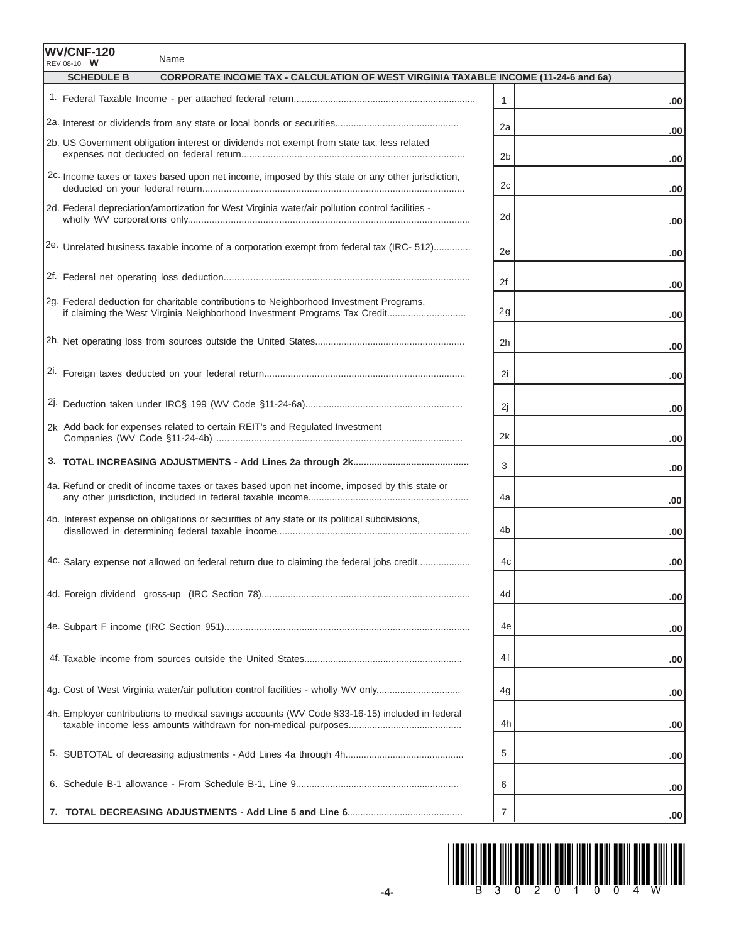| <b>WV/CNF-120</b><br>Name<br>$RFV$ 08-10 $W$                                                                    |                |            |
|-----------------------------------------------------------------------------------------------------------------|----------------|------------|
| <b>CORPORATE INCOME TAX - CALCULATION OF WEST VIRGINIA TAXABLE INCOME (11-24-6 and 6a)</b><br><b>SCHEDULE B</b> |                |            |
|                                                                                                                 | $\mathbf{1}$   | .00        |
|                                                                                                                 | 2a             |            |
| 2b. US Government obligation interest or dividends not exempt from state tax, less related                      | 2 <sub>b</sub> | .00<br>.00 |
| 2c. Income taxes or taxes based upon net income, imposed by this state or any other jurisdiction,               | 2c             | .00        |
| 2d. Federal depreciation/amortization for West Virginia water/air pollution control facilities -                | 2d             | .00        |
| <sup>2e.</sup> Unrelated business taxable income of a corporation exempt from federal tax (IRC- 512)            | 2e             | .00        |
|                                                                                                                 | 2f             | .00        |
| 2g. Federal deduction for charitable contributions to Neighborhood Investment Programs,                         | 2g             | .00        |
|                                                                                                                 | 2 <sub>h</sub> | .00        |
|                                                                                                                 | 2i             | .00        |
|                                                                                                                 | 2j             | .00        |
| 2k Add back for expenses related to certain REIT's and Regulated Investment                                     | 2k             | .00        |
|                                                                                                                 | 3              | .00        |
| 4a. Refund or credit of income taxes or taxes based upon net income, imposed by this state or                   | 4a             | .00        |
| 4b. Interest expense on obligations or securities of any state or its political subdivisions,                   | 4b             | .00        |
| 4c. Salary expense not allowed on federal return due to claiming the federal jobs credit                        | 4c             | .00        |
|                                                                                                                 | 4d             | .00        |
|                                                                                                                 | 4e             | .00        |
|                                                                                                                 | 4f             | .00        |
| 4g. Cost of West Virginia water/air pollution control facilities - wholly WV only                               | 4g             | .00        |
| 4h. Employer contributions to medical savings accounts (WV Code §33-16-15) included in federal                  | 4h             | .00        |
|                                                                                                                 | 5              | .00        |
|                                                                                                                 | 6              | .00        |
|                                                                                                                 | $\overline{7}$ | .00        |

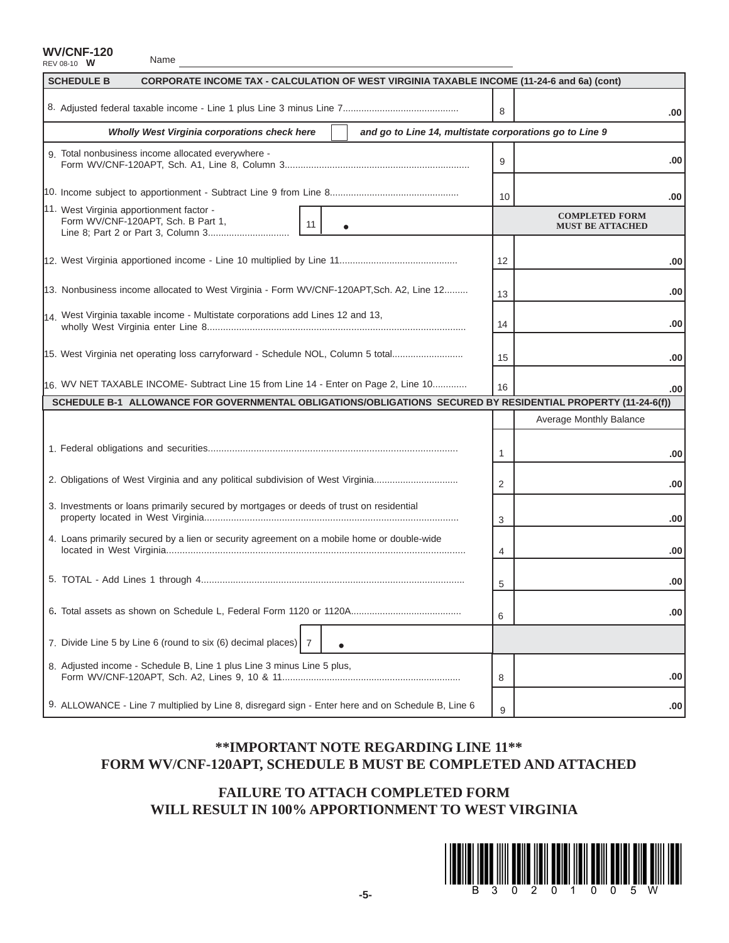Name

| <b>SCHEDULE B</b><br>CORPORATE INCOME TAX - CALCULATION OF WEST VIRGINIA TAXABLE INCOME (11-24-6 and 6a) (cont) |    |                                                  |
|-----------------------------------------------------------------------------------------------------------------|----|--------------------------------------------------|
|                                                                                                                 | 8  | .00                                              |
| and go to Line 14, multistate corporations go to Line 9<br>Wholly West Virginia corporations check here         |    |                                                  |
| 9. Total nonbusiness income allocated everywhere -                                                              | 9  | .00                                              |
|                                                                                                                 | 10 | .00                                              |
| 11. West Virginia apportionment factor -<br>Form WV/CNF-120APT, Sch. B Part 1,<br>11<br>$\bullet$               |    | <b>COMPLETED FORM</b><br><b>MUST BE ATTACHED</b> |
|                                                                                                                 | 12 | .00                                              |
| 13. Nonbusiness income allocated to West Virginia - Form WV/CNF-120APT, Sch. A2, Line 12                        | 13 | .00                                              |
| 14. West Virginia taxable income - Multistate corporations add Lines 12 and 13,                                 | 14 | .00                                              |
| 15. West Virginia net operating loss carryforward - Schedule NOL, Column 5 total                                | 15 | .00                                              |
| 16. WV NET TAXABLE INCOME- Subtract Line 15 from Line 14 - Enter on Page 2, Line 10                             | 16 | .00                                              |
| SCHEDULE B-1 ALLOWANCE FOR GOVERNMENTAL OBLIGATIONS/OBLIGATIONS SECURED BY RESIDENTIAL PROPERTY (11-24-6(f))    |    | Average Monthly Balance                          |
|                                                                                                                 |    |                                                  |
|                                                                                                                 | 1  | .00                                              |
| 2. Obligations of West Virginia and any political subdivision of West Virginia                                  | 2  | .00                                              |
| 3. Investments or loans primarily secured by mortgages or deeds of trust on residential                         | 3  | .00                                              |
| 4. Loans primarily secured by a lien or security agreement on a mobile home or double-wide                      | 4  | .00                                              |
|                                                                                                                 | 5  | .00                                              |
|                                                                                                                 | 6  | .00                                              |
| 7. Divide Line 5 by Line 6 (round to six (6) decimal places) 7                                                  |    |                                                  |
| 8. Adjusted income - Schedule B, Line 1 plus Line 3 minus Line 5 plus,                                          | 8  | .00                                              |
|                                                                                                                 |    |                                                  |

# **\*\*IMPORTANT NOTE REGARDING LINE 11\*\* FORM WV/CNF-120APT, SCHEDULE B MUST BE COMPLETED AND ATTACHED**

# **FAILURE TO ATTACH COMPLETED FORM WILL RESULT IN 100% APPORTIONMENT TO WEST VIRGINIA**